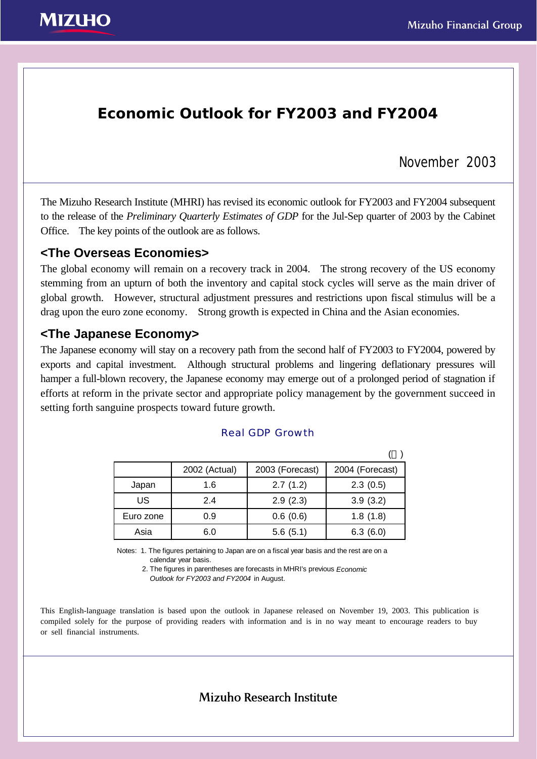

## **Economic Outlook for FY2003 and FY2004**

## November 2003

The Mizuho Research Institute (MHRI) has revised its economic outlook for FY2003 and FY2004 subsequent to the release of the *Preliminary Quarterly Estimates of GDP* for the Jul-Sep quarter of 2003 by the Cabinet Office. The key points of the outlook are as follows.

## **<The Overseas Economies>**

The global economy will remain on a recovery track in 2004. The strong recovery of the US economy stemming from an upturn of both the inventory and capital stock cycles will serve as the main driver of global growth. However, structural adjustment pressures and restrictions upon fiscal stimulus will be a drag upon the euro zone economy. Strong growth is expected in China and the Asian economies.

### **<The Japanese Economy>**

The Japanese economy will stay on a recovery path from the second half of FY2003 to FY2004, powered by exports and capital investment. Although structural problems and lingering deflationary pressures will hamper a full-blown recovery, the Japanese economy may emerge out of a prolonged period of stagnation if efforts at reform in the private sector and appropriate policy management by the government succeed in setting forth sanguine prospects toward future growth.

|           | 2002 (Actual) | 2003 (Forecast) | 2004 (Forecast) |
|-----------|---------------|-----------------|-----------------|
| Japan     | 1.6           | 2.7(1.2)        | 2.3(0.5)        |
| US        | 2.4           | 2.9(2.3)        | 3.9(3.2)        |
| Euro zone | 0.9           | 0.6(0.6)        | 1.8(1.8)        |
| Asia      | 6.0           | 5.6(5.1)        | 6.3(6.0)        |

#### Real GDP Growth

Notes: 1. The figures pertaining to Japan are on a fiscal year basis and the rest are on a calendar year basis.

 2. The figures in parentheses are forecasts in MHRI's previous *Economic Outlook for FY2003 and FY2004* in August.

This English-language translation is based upon the outlook in Japanese released on November 19, 2003. This publication is compiled solely for the purpose of providing readers with information and is in no way meant to encourage readers to buy or sell financial instruments.

Mizuho Research Institute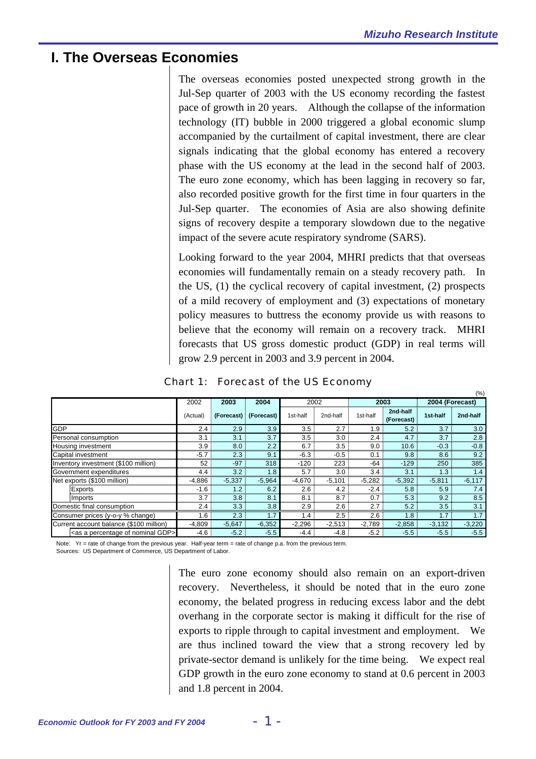## **I. The Overseas Economies**

The overseas economies posted unexpected strong growth in the Jul-Sep quarter of 2003 with the US economy recording the fastest pace of growth in 20 years. Although the collapse of the information technology (IT) bubble in 2000 triggered a global economic slump accompanied by the curtailment of capital investment, there are clear signals indicating that the global economy has entered a recovery phase with the US economy at the lead in the second half of 2003. The euro zone economy, which has been lagging in recovery so far, also recorded positive growth for the first time in four quarters in the Jul-Sep quarter. The economies of Asia are also showing definite signs of recovery despite a temporary slowdown due to the negative impact of the severe acute respiratory syndrome (SARS).

Looking forward to the year 2004, MHRI predicts that that overseas economies will fundamentally remain on a steady recovery path. In the US, (1) the cyclical recovery of capital investment, (2) prospects of a mild recovery of employment and (3) expectations of monetary policy measures to buttress the economy provide us with reasons to believe that the economy will remain on a recovery track. MHRI forecasts that US gross domestic product (GDP) in real terms will grow 2.9 percent in 2003 and 3.9 percent in 2004.

|                                                      |          |          |                       |          |           |                  |                        |                 | (%)      |
|------------------------------------------------------|----------|----------|-----------------------|----------|-----------|------------------|------------------------|-----------------|----------|
|                                                      | 2002     | 2003     | 2004                  | 2002     |           |                  | 2003                   | 2004 (Forecast) |          |
|                                                      | (Actual) |          | (Forecast) (Forecast) | 1st-half | 2nd-half  | 1st-half         | 2nd-half<br>(Forecast) | 1st-half        | 2nd-half |
| <b>GDP</b>                                           | 2.4      | 2.9      | 3.9                   | 3.5      | 2.7       | 1.9 <sup>°</sup> | 5.2                    | 3.7             | 3.0      |
| Personal consumption                                 | 3.1      | 3.1      | 3.7                   | 3.5      | 3.0       | 2.4              | 4.7 <sup>1</sup>       | 3.7             | 2.8      |
| Housing investment                                   | 3.9      | 8.0      | 2.2                   | 6.7      | 3.5       | 9.0              | 10.6                   | $-0.3$          | $-0.8$   |
| Capital investment                                   | $-5.7$   | 2.3      | 9.                    | $-6.3$   | $-0.5$    | 0.1              | 9.8                    | 8.6             | 9.2      |
| Inventory investment (\$100 million)                 | 52       | $-97$    | 318                   | $-120$   | 223       | $-64$            | -129                   | 250             | 385      |
| Government expenditures                              | 4.4      | 3.2      | 1.8                   | 5.7      | 3.0       | 3.4              | 3.1                    | 1.3             |          |
| Net exports (\$100 million)                          | $-4,886$ | $-5,337$ | $-5,964$              | $-4,670$ | $-5,101$  | $-5,282$         | $-5,392$               | $-5,811$        | $-6,117$ |
| Exports                                              | $-1.6$   | 1.2      | 6.2                   | 2.6      | 4.2       | $-2.4$           | 5.8                    | 5.9             |          |
| Imports                                              | 3.7      | 3.8      | 8.1                   | 8.1      | 8.7       | 0.7              | 5.3                    | 9.2             | 8.5      |
| Domestic final consumption                           | 2.4      | 3.3      | 3.8                   | 2.9      | $2.6 \pm$ | 2.7:             | 5.2                    | 3.5             | 3.1      |
| Consumer prices (y-o-y % change)                     | 1.6      | 2.3      | $\overline{.7}$       | 1.4      | 2.5       | 2.6              | 1.8                    | 1.7             | 1.7      |
| Current account balance (\$100 million)              | $-4.809$ | $-5,647$ | $-6,352$              | $-2,296$ | $-2,513$  | $-2,789$         | $-2,858$               | $-3,132$        | $-3,220$ |
| <as a="" gdp="" nominal="" of="" percentage=""></as> | $-4.6$   | $-5.2$   | $-5.5$                | $-4.4$   | $-4.8$    | $-5.2$           | $-5.5$                 | $-5.5$          | $-5.5$   |

## Chart 1: Forecast of the US Economy

Note: Yr = rate of change from the previous year. Half-year term = rate of change p.a. from the previous term. Sources: US Department of Commerce, US Department of Labor.

> The euro zone economy should also remain on an export-driven recovery. Nevertheless, it should be noted that in the euro zone economy, the belated progress in reducing excess labor and the debt overhang in the corporate sector is making it difficult for the rise of exports to ripple through to capital investment and employment. We are thus inclined toward the view that a strong recovery led by private-sector demand is unlikely for the time being. We expect real GDP growth in the euro zone economy to stand at 0.6 percent in 2003 and 1.8 percent in 2004.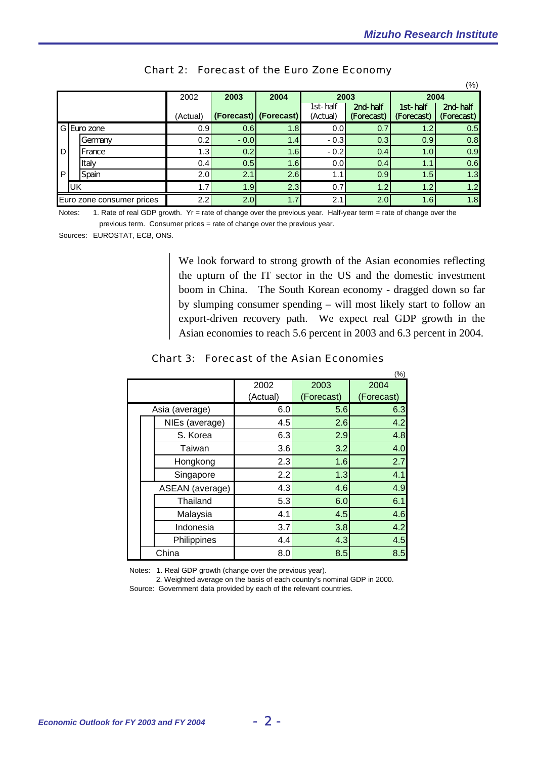$(%)$ 

|                           |    |             | 2002     | 2003   | 2004                  | 2003                 |                        |                        | 2004                   |  |  |
|---------------------------|----|-------------|----------|--------|-----------------------|----------------------|------------------------|------------------------|------------------------|--|--|
|                           |    |             | (Actual) |        | (Forecast) (Forecast) | 1st-half<br>(Actual) | 2nd-half<br>(Forecast) | 1st-half<br>(Forecast) | 2nd-half<br>(Forecast) |  |  |
|                           |    | G Euro zone | 0.9      | 0.6    | 1.8                   | 0.0                  | 0.7                    | 1.2 <sub>1</sub>       | 0.5                    |  |  |
|                           |    | Germany     | 0.2      | $-0.0$ | 1.4                   | $-0.3$               | 0.3                    | 0.9 <sub>l</sub>       | 0.8                    |  |  |
| D                         |    | France      | 1.3      | 0.2    | 1.6                   | $-0.2$               | 0.4                    | 1.0                    | 0.9                    |  |  |
|                           |    | Italy       | 0.4      | 0.5    | 1.6                   | 0.0                  | 0.4                    | 1.1                    | 0.6                    |  |  |
| P                         |    | Spain       | 2.0      | 2.1    | 2.6                   | 1.1                  | 0.9                    | 1.5                    | 1.3                    |  |  |
|                           | UK |             | 1.7      | 1.9    | 2.3                   | 0.7                  | 1.2                    | 1.2 <sub>1</sub>       | 1.2                    |  |  |
| Euro zone consumer prices |    |             | 2.2      | 2.0    | 1.7                   | 2.1                  | 2.0                    | 1.6                    | 1.8                    |  |  |

### Chart 2: Forecast of the Euro Zone Economy

Notes: 1. Rate of real GDP growth. Yr = rate of change over the previous year. Half-year term = rate of change over the previous term. Consumer prices = rate of change over the previous year.

Sources: EUROSTAT, ECB, ONS.

We look forward to strong growth of the Asian economies reflecting the upturn of the IT sector in the US and the domestic investment boom in China. The South Korean economy - dragged down so far by slumping consumer spending – will most likely start to follow an export-driven recovery path. We expect real GDP growth in the Asian economies to reach 5.6 percent in 2003 and 6.3 percent in 2004.

### Chart 3: Forecast of the Asian Economies

|  |                 |          |            | $(\% )$    |
|--|-----------------|----------|------------|------------|
|  |                 | 2002     | 2003       | 2004       |
|  |                 | (Actual) | (Forecast) | (Forecast) |
|  | Asia (average)  | 6.0      | 5.6        | 6.3        |
|  | NIEs (average)  | 4.5      | 2.6        | 4.2        |
|  | S. Korea        | 6.3      | 2.9        | 4.8        |
|  | Taiwan          | 3.6      | 3.2        | 4.0        |
|  | Hongkong        | 2.3      | 1.6        | 2.7        |
|  | Singapore       | 2.2      | 1.3        | 4.1        |
|  | ASEAN (average) | 4.3      | 4.6        | 4.9        |
|  | Thailand        | 5.3      | 6.0        | 6.1        |
|  | Malaysia        | 4.1      | 4.5        | 4.6        |
|  | Indonesia       | 3.7      | 3.8        | 4.2        |
|  | Philippines     | 4.4      | 4.3        | 4.5        |
|  | China           | 8.0      | 8.5        | 8.5        |

Notes: 1. Real GDP growth (change over the previous year).

 2. Weighted average on the basis of each country's nominal GDP in 2000. Source: Government data provided by each of the relevant countries.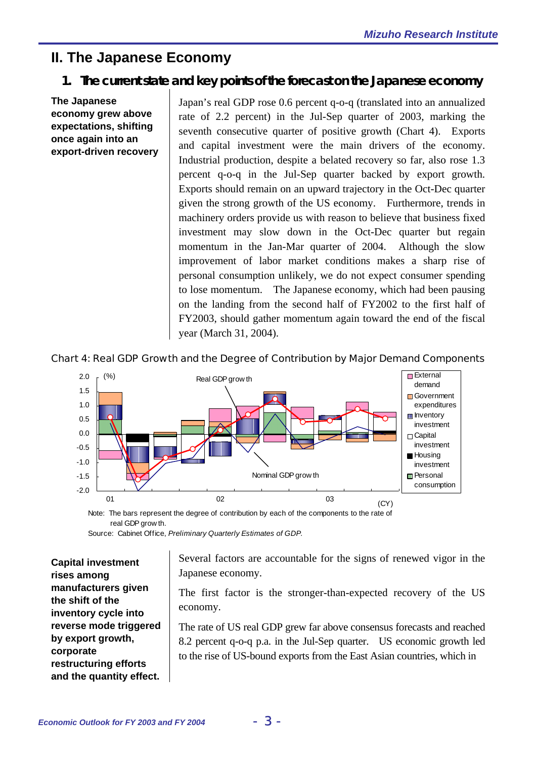# **II. The Japanese Economy**

## **1. The current state and key points of the forecast on the Japanese economy**

**The Japanese economy grew above expectations, shifting once again into an export-driven recovery**  Japan's real GDP rose 0.6 percent q-o-q (translated into an annualized rate of 2.2 percent) in the Jul-Sep quarter of 2003, marking the seventh consecutive quarter of positive growth (Chart 4). Exports and capital investment were the main drivers of the economy. Industrial production, despite a belated recovery so far, also rose 1.3 percent q-o-q in the Jul-Sep quarter backed by export growth. Exports should remain on an upward trajectory in the Oct-Dec quarter given the strong growth of the US economy. Furthermore, trends in machinery orders provide us with reason to believe that business fixed investment may slow down in the Oct-Dec quarter but regain momentum in the Jan-Mar quarter of 2004. Although the slow improvement of labor market conditions makes a sharp rise of personal consumption unlikely, we do not expect consumer spending to lose momentum. The Japanese economy, which had been pausing on the landing from the second half of FY2002 to the first half of FY2003, should gather momentum again toward the end of the fiscal year (March 31, 2004).





Note: The bars represent the degree of contribution by each of the components to the rate of real GDP grow th.

Source: Cabinet Office, *Preliminary Quarterly Estimates of GDP.*

**Capital investment rises among manufacturers given the shift of the inventory cycle into reverse mode triggered by export growth, corporate restructuring efforts and the quantity effect.** 

Several factors are accountable for the signs of renewed vigor in the Japanese economy.

The first factor is the stronger-than-expected recovery of the US economy.

The rate of US real GDP grew far above consensus forecasts and reached 8.2 percent q-o-q p.a. in the Jul-Sep quarter. US economic growth led to the rise of US-bound exports from the East Asian countries, which in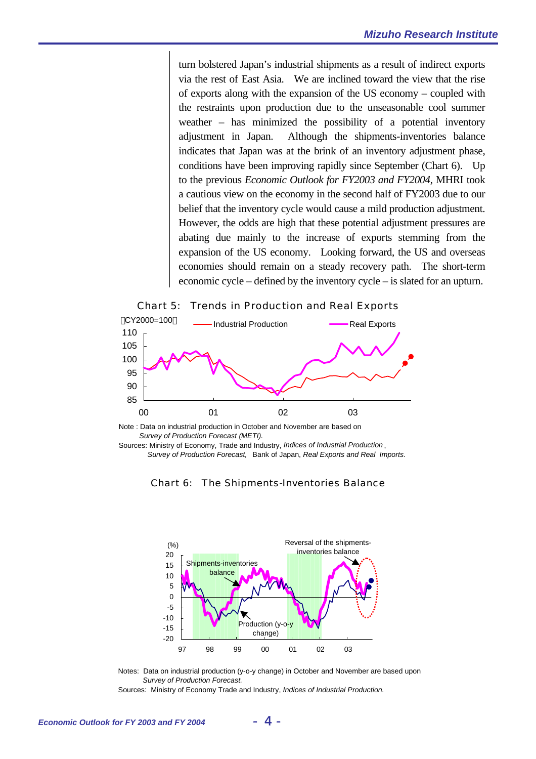turn bolstered Japan's industrial shipments as a result of indirect exports via the rest of East Asia. We are inclined toward the view that the rise of exports along with the expansion of the US economy – coupled with the restraints upon production due to the unseasonable cool summer weather – has minimized the possibility of a potential inventory adjustment in Japan. Although the shipments-inventories balance indicates that Japan was at the brink of an inventory adjustment phase, conditions have been improving rapidly since September (Chart 6). Up to the previous *Economic Outlook for FY2003 and FY2004*, MHRI took a cautious view on the economy in the second half of FY2003 due to our belief that the inventory cycle would cause a mild production adjustment. However, the odds are high that these potential adjustment pressures are abating due mainly to the increase of exports stemming from the expansion of the US economy. Looking forward, the US and overseas economies should remain on a steady recovery path. The short-term economic cycle – defined by the inventory cycle – is slated for an upturn.



00 01 02 03

Sources: Ministry of Economy, Trade and Industry, *Indices of Industrial Production* ,

Note : Data on industrial production in October and November are based on

*Survey of Production Forecast (METI).*

Chart 5: Trends in Production and Real Exports



Chart 6: The Shipments-Inventories Balance

*Survey of Production Forecast,* Bank of Japan, *Real Exports and Real Imports.*

Notes: Data on industrial production (y-o-y change) in October and November are based upon *Survey of Production Forecast.* Sources: Ministry of Economy Trade and Industry, *Indices of Industrial Production.*

85 90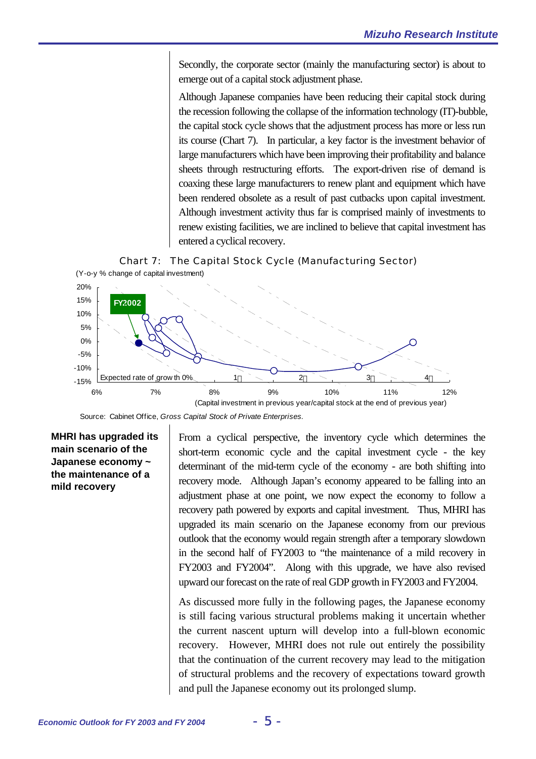Secondly, the corporate sector (mainly the manufacturing sector) is about to emerge out of a capital stock adjustment phase.

Although Japanese companies have been reducing their capital stock during the recession following the collapse of the information technology (IT)-bubble, the capital stock cycle shows that the adjustment process has more or less run its course (Chart 7). In particular, a key factor is the investment behavior of large manufacturers which have been improving their profitability and balance sheets through restructuring efforts. The export-driven rise of demand is coaxing these large manufacturers to renew plant and equipment which have been rendered obsolete as a result of past cutbacks upon capital investment. Although investment activity thus far is comprised mainly of investments to renew existing facilities, we are inclined to believe that capital investment has entered a cyclical recovery.





Source: Cabinet Office, *Gross Capital Stock of Private Enterprises.*

**MHRI has upgraded its main scenario of the Japanese economy ~ the maintenance of a mild recovery** 

From a cyclical perspective, the inventory cycle which determines the short-term economic cycle and the capital investment cycle - the key determinant of the mid-term cycle of the economy - are both shifting into recovery mode. Although Japan's economy appeared to be falling into an adjustment phase at one point, we now expect the economy to follow a recovery path powered by exports and capital investment. Thus, MHRI has upgraded its main scenario on the Japanese economy from our previous outlook that the economy would regain strength after a temporary slowdown in the second half of FY2003 to "the maintenance of a mild recovery in FY2003 and FY2004". Along with this upgrade, we have also revised upward our forecast on the rate of real GDP growth in FY2003 and FY2004.

As discussed more fully in the following pages, the Japanese economy is still facing various structural problems making it uncertain whether the current nascent upturn will develop into a full-blown economic recovery. However, MHRI does not rule out entirely the possibility that the continuation of the current recovery may lead to the mitigation of structural problems and the recovery of expectations toward growth and pull the Japanese economy out its prolonged slump.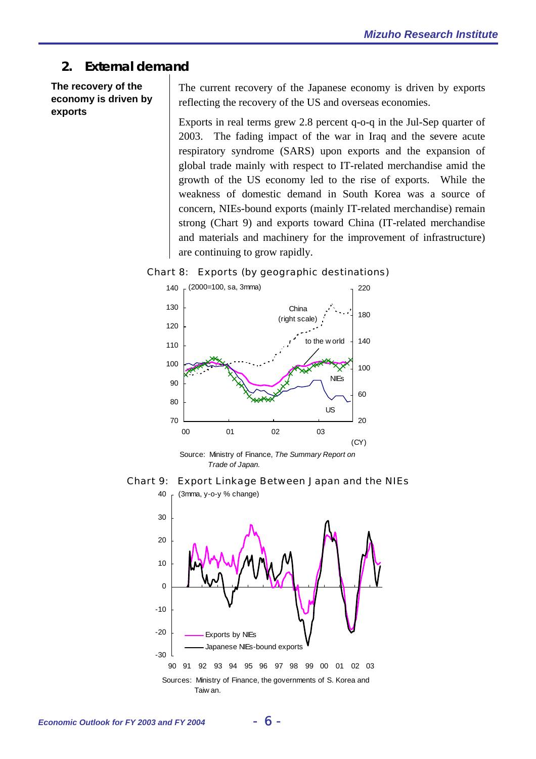## **2. External demand**

**The recovery of the economy is driven by exports** 

The current recovery of the Japanese economy is driven by exports reflecting the recovery of the US and overseas economies.

Exports in real terms grew 2.8 percent q-o-q in the Jul-Sep quarter of 2003. The fading impact of the war in Iraq and the severe acute respiratory syndrome (SARS) upon exports and the expansion of global trade mainly with respect to IT-related merchandise amid the growth of the US economy led to the rise of exports. While the weakness of domestic demand in South Korea was a source of concern, NIEs-bound exports (mainly IT-related merchandise) remain strong (Chart 9) and exports toward China (IT-related merchandise and materials and machinery for the improvement of infrastructure) are continuing to grow rapidly.

### Chart 8: Exports (by geographic destinations)



Source: Ministry of Finance, *The Summary Report on Trade of Japan.*



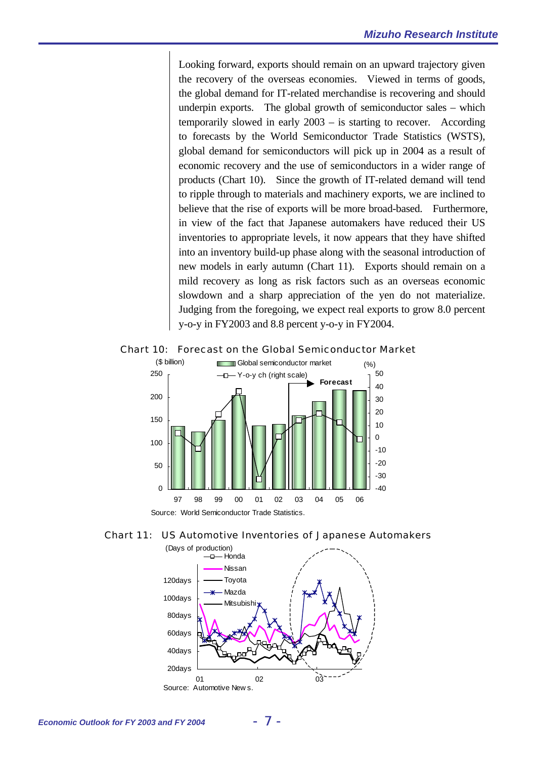Looking forward, exports should remain on an upward trajectory given the recovery of the overseas economies. Viewed in terms of goods, the global demand for IT-related merchandise is recovering and should underpin exports. The global growth of semiconductor sales – which temporarily slowed in early 2003 – is starting to recover. According to forecasts by the World Semiconductor Trade Statistics (WSTS), global demand for semiconductors will pick up in 2004 as a result of economic recovery and the use of semiconductors in a wider range of products (Chart 10). Since the growth of IT-related demand will tend to ripple through to materials and machinery exports, we are inclined to believe that the rise of exports will be more broad-based. Furthermore, in view of the fact that Japanese automakers have reduced their US inventories to appropriate levels, it now appears that they have shifted into an inventory build-up phase along with the seasonal introduction of new models in early autumn (Chart 11). Exports should remain on a mild recovery as long as risk factors such as an overseas economic slowdown and a sharp appreciation of the yen do not materialize. Judging from the foregoing, we expect real exports to grow 8.0 percent y-o-y in FY2003 and 8.8 percent y-o-y in FY2004.



Chart 10: Forecast on the Global Semiconductor Market



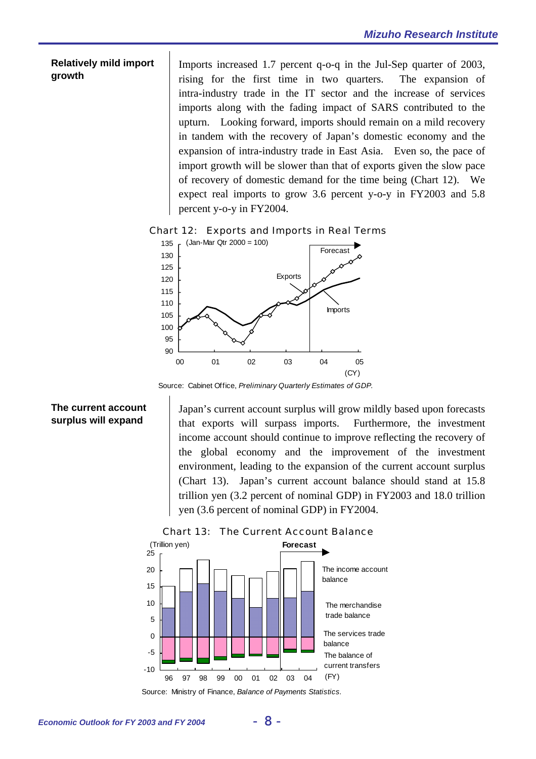#### **Relatively mild import growth**

Imports increased 1.7 percent q-o-q in the Jul-Sep quarter of 2003, rising for the first time in two quarters. The expansion of intra-industry trade in the IT sector and the increase of services imports along with the fading impact of SARS contributed to the upturn. Looking forward, imports should remain on a mild recovery in tandem with the recovery of Japan's domestic economy and the expansion of intra-industry trade in East Asia. Even so, the pace of import growth will be slower than that of exports given the slow pace of recovery of domestic demand for the time being (Chart 12). We expect real imports to grow 3.6 percent y-o-y in FY2003 and 5.8 percent y-o-y in FY2004.

#### Chart 12: Exports and Imports in Real Terms



Source: Cabinet Office, *Preliminary Quarterly Estimates of GDP.*

## **The current account surplus will expand**

Japan's current account surplus will grow mildly based upon forecasts that exports will surpass imports. Furthermore, the investment income account should continue to improve reflecting the recovery of the global economy and the improvement of the investment environment, leading to the expansion of the current account surplus (Chart 13). Japan's current account balance should stand at 15.8 trillion yen (3.2 percent of nominal GDP) in FY2003 and 18.0 trillion yen (3.6 percent of nominal GDP) in FY2004.



Chart 13: The Current Account Balance

Source: Ministry of Finance, *Balance of Payments Statistics.*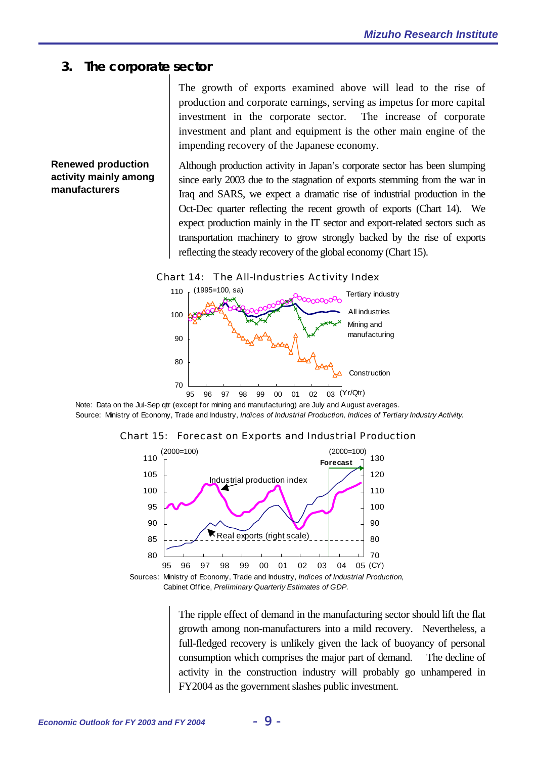## **3. The corporate sector**

The growth of exports examined above will lead to the rise of production and corporate earnings, serving as impetus for more capital investment in the corporate sector. The increase of corporate investment and plant and equipment is the other main engine of the impending recovery of the Japanese economy.

## **Renewed production activity mainly among manufacturers**

Although production activity in Japan's corporate sector has been slumping since early 2003 due to the stagnation of exports stemming from the war in Iraq and SARS, we expect a dramatic rise of industrial production in the Oct-Dec quarter reflecting the recent growth of exports (Chart 14). We expect production mainly in the IT sector and export-related sectors such as transportation machinery to grow strongly backed by the rise of exports reflecting the steady recovery of the global economy (Chart 15).

#### Chart 14: The All-Industries Activity Index



Note: Data on the Jul-Sep qtr (except for mining and manufacturing) are July and August averages. Source: Ministry of Economy, Trade and Industry, *Indices of Industrial Production, Indices of Tertiary Industry Activity.*

#### Chart 15: Forecast on Exports and Industrial Production



Sources: Ministry of Economy, Trade and Industry, *Indices of Industrial Production,* Cabinet Office, *Preliminary Quarterly Estimates of GDP.*

> The ripple effect of demand in the manufacturing sector should lift the flat growth among non-manufacturers into a mild recovery. Nevertheless, a full-fledged recovery is unlikely given the lack of buoyancy of personal consumption which comprises the major part of demand. The decline of activity in the construction industry will probably go unhampered in FY2004 as the government slashes public investment.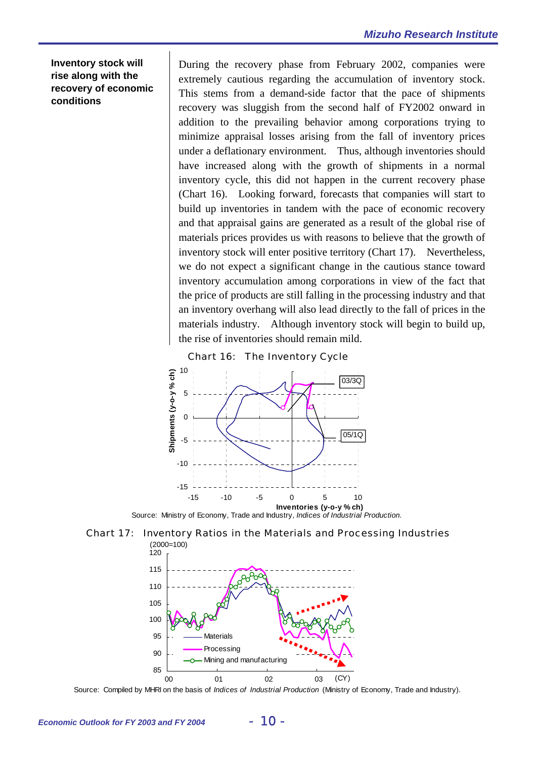**Inventory stock will rise along with the recovery of economic conditions** 

During the recovery phase from February 2002, companies were extremely cautious regarding the accumulation of inventory stock. This stems from a demand-side factor that the pace of shipments recovery was sluggish from the second half of FY2002 onward in addition to the prevailing behavior among corporations trying to minimize appraisal losses arising from the fall of inventory prices under a deflationary environment. Thus, although inventories should have increased along with the growth of shipments in a normal inventory cycle, this did not happen in the current recovery phase (Chart 16). Looking forward, forecasts that companies will start to build up inventories in tandem with the pace of economic recovery and that appraisal gains are generated as a result of the global rise of materials prices provides us with reasons to believe that the growth of inventory stock will enter positive territory (Chart 17). Nevertheless, we do not expect a significant change in the cautious stance toward inventory accumulation among corporations in view of the fact that the price of products are still falling in the processing industry and that an inventory overhang will also lead directly to the fall of prices in the materials industry. Although inventory stock will begin to build up, the rise of inventories should remain mild.





Source: Ministry of Economy, Trade and Industry, *Indices of Industrial Production.*





Source: Compiled by MHRI on the basis of *Indices of Industrial Production* (Ministry of Economy, Trade and Industry).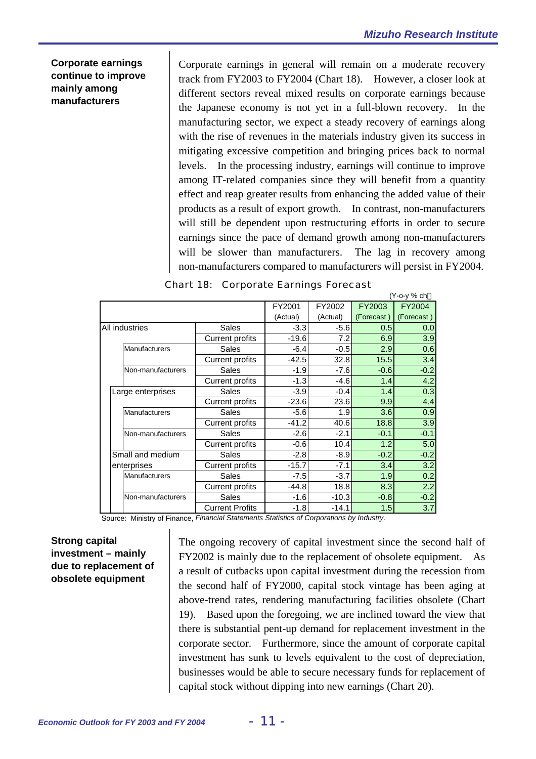$(1/2)(1/2)$ 

## **Corporate earnings continue to improve mainly among manufacturers**

Corporate earnings in general will remain on a moderate recovery track from FY2003 to FY2004 (Chart 18). However, a closer look at different sectors reveal mixed results on corporate earnings because the Japanese economy is not yet in a full-blown recovery. In the manufacturing sector, we expect a steady recovery of earnings along with the rise of revenues in the materials industry given its success in mitigating excessive competition and bringing prices back to normal levels. In the processing industry, earnings will continue to improve among IT-related companies since they will benefit from a quantity effect and reap greater results from enhancing the added value of their products as a result of export growth. In contrast, non-manufacturers will still be dependent upon restructuring efforts in order to secure earnings since the pace of demand growth among non-manufacturers will be slower than manufacturers. The lag in recovery among non-manufacturers compared to manufacturers will persist in FY2004.

|                      |                        |          |          |            | (1 - O - V 70 CN |
|----------------------|------------------------|----------|----------|------------|------------------|
|                      |                        | FY2001   | FY2002   | FY2003     | FY2004           |
|                      |                        | (Actual) | (Actual) | (Forecast) | (Forecast)       |
| All industries       | <b>Sales</b>           | $-3.3$   | $-5.6$   | 0.5        | 0.0              |
|                      | <b>Current profits</b> | $-19.6$  | 7.2      | 6.9        | 3.9              |
| <b>Manufacturers</b> | Sales                  | $-6.4$   | $-0.5$   | 2.9        | 0.6              |
|                      | <b>Current profits</b> | $-42.5$  | 32.8     | 15.5       | 3.4              |
| Non-manufacturers    | Sales                  | $-1.9$   | $-7.6$   | $-0.6$     | $-0.2$           |
|                      | <b>Current profits</b> | $-1.3$   | $-4.6$   | 1.4        | 4.2              |
| Large enterprises    | Sales                  | $-3.9$   | $-0.4$   | 1.4        | 0.3              |
|                      | <b>Current profits</b> | $-23.6$  | 23.6     | 9.9        | 4.4              |
| <b>Manufacturers</b> | Sales                  | $-5.6$   | 1.9      | 3.6        | 0.9              |
|                      | <b>Current profits</b> | $-41.2$  | 40.6     | 18.8       | 3.9              |
| Non-manufacturers    | Sales                  | $-2.6$   | $-2.1$   | $-0.1$     | $-0.1$           |
|                      | <b>Current profits</b> | $-0.6$   | 10.4     | 1.2        | 5.0              |
| Small and medium     | <b>Sales</b>           | $-2.8$   | $-8.9$   | $-0.2$     | $-0.2$           |
| enterprises          | <b>Current profits</b> | $-15.7$  | $-7.1$   | 3.4        | 3.2              |
| Manufacturers        | <b>Sales</b>           | $-7.5$   | $-3.7$   | 1.9        | 0.2              |
|                      | <b>Current profits</b> | $-44.8$  | 18.8     | 8.3        | 2.2              |
| Non-manufacturers    | Sales                  | $-1.6$   | $-10.3$  | $-0.8$     | $-0.2$           |
|                      | <b>Current Profits</b> | $-1.8$   | $-14.1$  | 1.5        | 3.7              |

| <b>Chart 18: Corporate Earnings Forecast</b> |  |  |  |  |
|----------------------------------------------|--|--|--|--|
|----------------------------------------------|--|--|--|--|

Source: Ministry of Finance, *Financial Statements Statistics of Corporations by Industry.*

## **Strong capital investment – mainly due to replacement of obsolete equipment**

The ongoing recovery of capital investment since the second half of FY2002 is mainly due to the replacement of obsolete equipment. As a result of cutbacks upon capital investment during the recession from the second half of FY2000, capital stock vintage has been aging at above-trend rates, rendering manufacturing facilities obsolete (Chart 19). Based upon the foregoing, we are inclined toward the view that there is substantial pent-up demand for replacement investment in the corporate sector. Furthermore, since the amount of corporate capital investment has sunk to levels equivalent to the cost of depreciation, businesses would be able to secure necessary funds for replacement of capital stock without dipping into new earnings (Chart 20).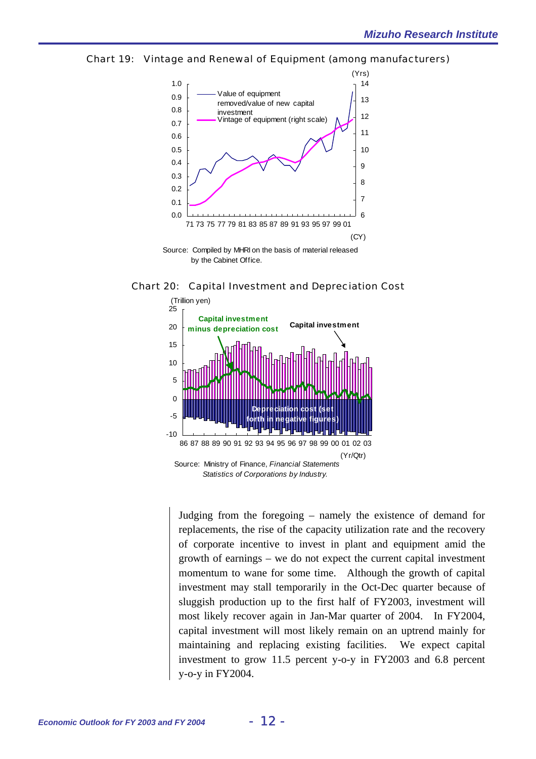



by the Cabinet Office.





Judging from the foregoing – namely the existence of demand for replacements, the rise of the capacity utilization rate and the recovery of corporate incentive to invest in plant and equipment amid the growth of earnings – we do not expect the current capital investment momentum to wane for some time. Although the growth of capital investment may stall temporarily in the Oct-Dec quarter because of sluggish production up to the first half of FY2003, investment will most likely recover again in Jan-Mar quarter of 2004. In FY2004, capital investment will most likely remain on an uptrend mainly for maintaining and replacing existing facilities. We expect capital investment to grow 11.5 percent y-o-y in FY2003 and 6.8 percent y-o-y in FY2004.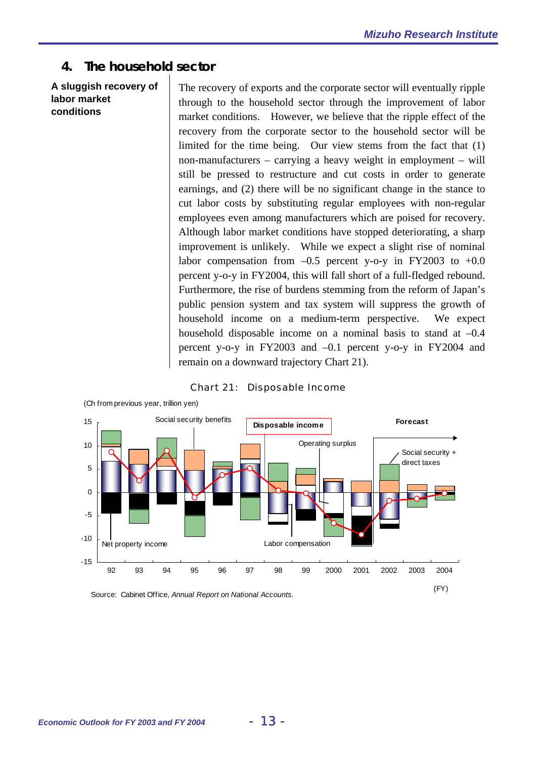## **4. The household sector**

**A sluggish recovery of labor market conditions** 

The recovery of exports and the corporate sector will eventually ripple through to the household sector through the improvement of labor market conditions. However, we believe that the ripple effect of the recovery from the corporate sector to the household sector will be limited for the time being. Our view stems from the fact that (1) non-manufacturers – carrying a heavy weight in employment – will still be pressed to restructure and cut costs in order to generate earnings, and (2) there will be no significant change in the stance to cut labor costs by substituting regular employees with non-regular employees even among manufacturers which are poised for recovery. Although labor market conditions have stopped deteriorating, a sharp improvement is unlikely. While we expect a slight rise of nominal labor compensation from  $-0.5$  percent y-o-y in FY2003 to  $+0.0$ percent y-o-y in FY2004, this will fall short of a full-fledged rebound. Furthermore, the rise of burdens stemming from the reform of Japan's public pension system and tax system will suppress the growth of household income on a medium-term perspective. We expect household disposable income on a nominal basis to stand at  $-0.4$ percent y-o-y in FY2003 and –0.1 percent y-o-y in FY2004 and remain on a downward trajectory Chart 21).





Source: Cabinet Office, *Annual Report on National Accounts.*

(Ch from previous year, trillion yen)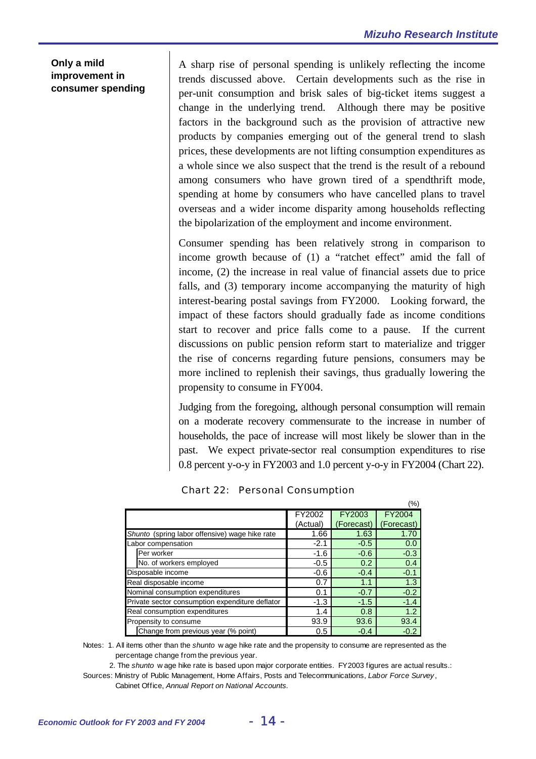### **Only a mild improvement in consumer spending**

A sharp rise of personal spending is unlikely reflecting the income trends discussed above. Certain developments such as the rise in per-unit consumption and brisk sales of big-ticket items suggest a change in the underlying trend. Although there may be positive factors in the background such as the provision of attractive new products by companies emerging out of the general trend to slash prices, these developments are not lifting consumption expenditures as a whole since we also suspect that the trend is the result of a rebound among consumers who have grown tired of a spendthrift mode, spending at home by consumers who have cancelled plans to travel overseas and a wider income disparity among households reflecting the bipolarization of the employment and income environment.

Consumer spending has been relatively strong in comparison to income growth because of (1) a "ratchet effect" amid the fall of income, (2) the increase in real value of financial assets due to price falls, and (3) temporary income accompanying the maturity of high interest-bearing postal savings from FY2000. Looking forward, the impact of these factors should gradually fade as income conditions start to recover and price falls come to a pause. If the current discussions on public pension reform start to materialize and trigger the rise of concerns regarding future pensions, consumers may be more inclined to replenish their savings, thus gradually lowering the propensity to consume in FY004.

Judging from the foregoing, although personal consumption will remain on a moderate recovery commensurate to the increase in number of households, the pace of increase will most likely be slower than in the past. We expect private-sector real consumption expenditures to rise 0.8 percent y-o-y in FY2003 and 1.0 percent y-o-y in FY2004 (Chart 22).

 $\sim$ 

|                                                 |          |            | (%)        |
|-------------------------------------------------|----------|------------|------------|
|                                                 | FY2002   | FY2003     | FY2004     |
|                                                 | (Actual) | (Forecast) | (Forecast) |
| Shunto (spring labor offensive) wage hike rate  | 1.66     | 1.63       | 1.70       |
| Labor compensation                              | $-2.1$   | $-0.5$     | 0.0        |
| Per worker                                      | $-1.6$   | $-0.6$     | $-0.3$     |
| No. of workers employed                         | $-0.5$   | 0.2        | 0.4        |
| Disposable income                               | $-0.6$   | $-0.4$     | $-0.1$     |
| Real disposable income                          | 0.7      | 1.1        | 1.3        |
| Nominal consumption expenditures                | 0.1      | $-0.7$     | $-0.2$     |
| Private sector consumption expenditure deflator | $-1.3$   | $-1.5$     | $-1.4$     |
| Real consumption expenditures                   | 1.4      | 0.8        | 1.2        |
| Propensity to consume                           | 93.9     | 93.6       | 93.4       |
| Change from previous year (% point)             | 0.5      | $-0.4$     | $-0.2$     |

### Chart 22: Personal Consumption

Notes: 1. All items other than the *shunto* w age hike rate and the propensity to consume are represented as the percentage change from the previous year.

 2. The *shunto* w age hike rate is based upon major corporate entities. FY2003 figures are actual results.: Sources: Ministry of Public Management, Home Affairs, Posts and Telecommunications, *Labor Force Survey* , Cabinet Office, *Annual Report on National Accounts.*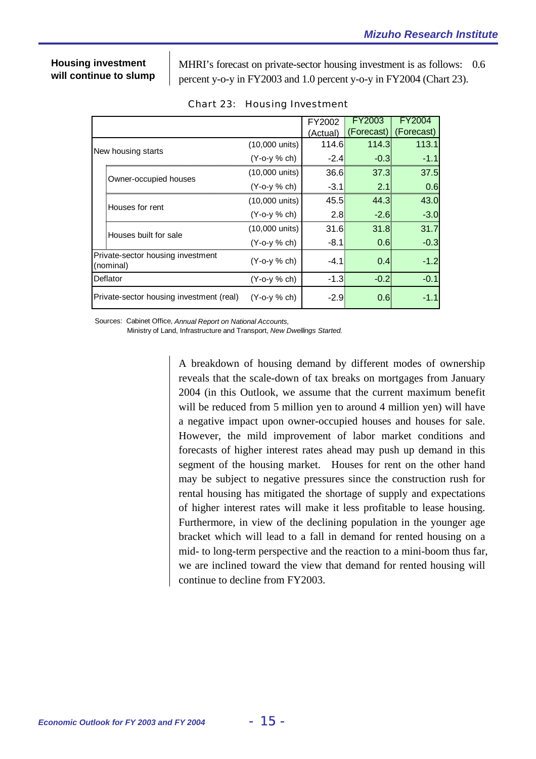### **Housing investment will continue to slump**

MHRI's forecast on private-sector housing investment is as follows: 0.6 percent y-o-y in FY2003 and 1.0 percent y-o-y in FY2004 (Chart 23).

|                                                |                       |                          | FY2002   |            |            |
|------------------------------------------------|-----------------------|--------------------------|----------|------------|------------|
|                                                |                       |                          | (Actual) | (Forecast) | (Forecast) |
|                                                | New housing starts    | $(10,000 \text{ units})$ | 114.6    | 114.3      | 113.1      |
|                                                |                       | $(Y - 0 - y \% ch)$      | $-2.4$   | $-0.3$     |            |
|                                                |                       | (10,000 units)           | 36.6.    | 37.3I      | 37.5I      |
|                                                | Owner-occupied houses | $(Y - 0 - y \% ch)$      | $-3.1$   | 2.1        | 0.6        |
|                                                | Houses for rent       | (10,000 units)           | 45.5.    | 44.3       | 43.OI      |
|                                                |                       | $(Y - 0 - y \% ch)$      | 2.8      | $-2.6$     | $-3.0$     |
|                                                | Houses built for sale | (10,000 units)           | 31.6     | 31.8       | 31.7       |
|                                                |                       | $(Y - 0 - y \% ch)$      | -8.1     | 0.6        | $-0.3$     |
| Private-sector housing investment<br>(nominal) |                       | $(Y - 0 - y \% ch)$      | $-4.1$   | 0.4        | $-1.2$     |
| Deflator                                       |                       | $(Y - 0 - y \% ch)$      | $-1.3$   | $-0.2$     | $-0.1$     |
| Private-sector housing investment (real)       |                       | $(Y$ -o-y $%$ ch)        | $-2.9$   | 0.6        | -1 1       |

|  | <b>Chart 23: Housing Investment</b> |
|--|-------------------------------------|
|  |                                     |

Sources: Cabinet Office, *Annual Report on National Accounts,*

Ministry of Land, Infrastructure and Transport, *New Dwellings Started.*

A breakdown of housing demand by different modes of ownership reveals that the scale-down of tax breaks on mortgages from January 2004 (in this Outlook, we assume that the current maximum benefit will be reduced from 5 million yen to around 4 million yen) will have a negative impact upon owner-occupied houses and houses for sale. However, the mild improvement of labor market conditions and forecasts of higher interest rates ahead may push up demand in this segment of the housing market. Houses for rent on the other hand may be subject to negative pressures since the construction rush for rental housing has mitigated the shortage of supply and expectations of higher interest rates will make it less profitable to lease housing. Furthermore, in view of the declining population in the younger age bracket which will lead to a fall in demand for rented housing on a mid- to long-term perspective and the reaction to a mini-boom thus far, we are inclined toward the view that demand for rented housing will continue to decline from FY2003.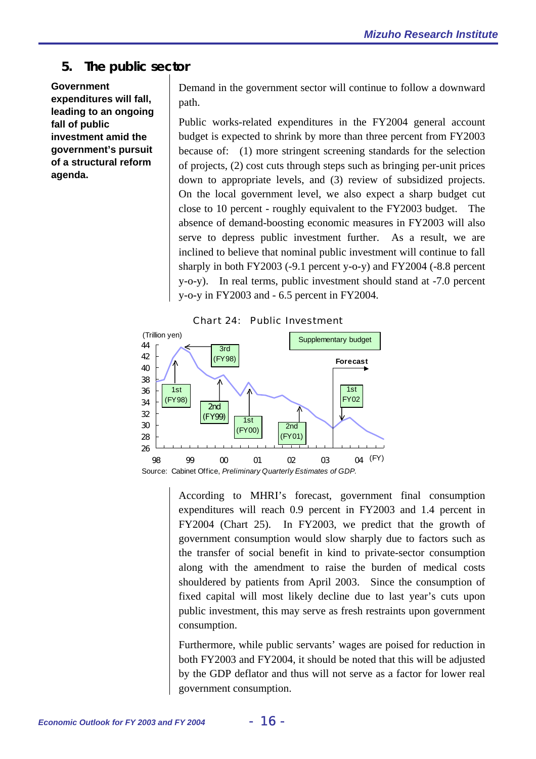## **5. The public sector**

**Government expenditures will fall, leading to an ongoing fall of public investment amid the government's pursuit of a structural reform agenda.** 

Demand in the government sector will continue to follow a downward path.

Public works-related expenditures in the FY2004 general account budget is expected to shrink by more than three percent from FY2003 because of: (1) more stringent screening standards for the selection of projects, (2) cost cuts through steps such as bringing per-unit prices down to appropriate levels, and (3) review of subsidized projects. On the local government level, we also expect a sharp budget cut close to 10 percent - roughly equivalent to the FY2003 budget. The absence of demand-boosting economic measures in FY2003 will also serve to depress public investment further. As a result, we are inclined to believe that nominal public investment will continue to fall sharply in both FY2003 (-9.1 percent y-o-y) and FY2004 (-8.8 percent y-o-y). In real terms, public investment should stand at -7.0 percent y-o-y in FY2003 and - 6.5 percent in FY2004.





According to MHRI's forecast, government final consumption expenditures will reach 0.9 percent in FY2003 and 1.4 percent in FY2004 (Chart 25). In FY2003, we predict that the growth of government consumption would slow sharply due to factors such as the transfer of social benefit in kind to private-sector consumption along with the amendment to raise the burden of medical costs shouldered by patients from April 2003. Since the consumption of fixed capital will most likely decline due to last year's cuts upon public investment, this may serve as fresh restraints upon government consumption.

Furthermore, while public servants' wages are poised for reduction in both FY2003 and FY2004, it should be noted that this will be adjusted by the GDP deflator and thus will not serve as a factor for lower real government consumption.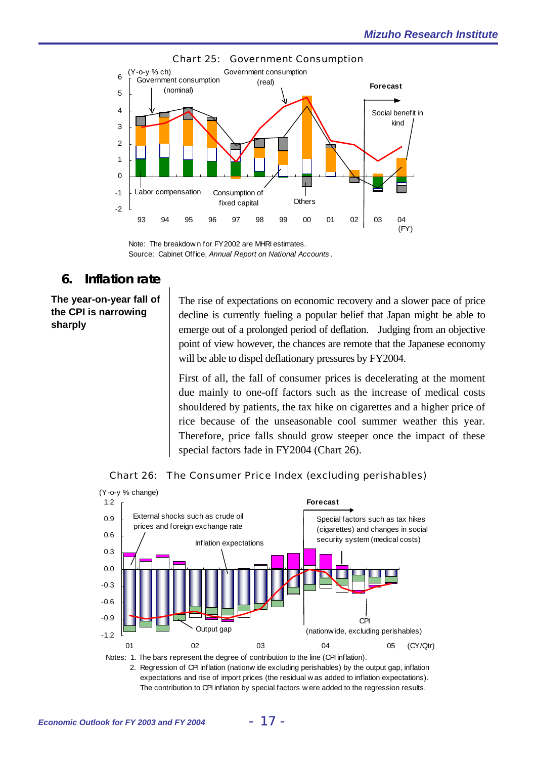



Note: The breakdow n for FY2002 are MHRI estimates. Source: Cabinet Office, *Annual Report on National Accounts* .

## **6. Inflation rate**

## **The year-on-year fall of the CPI is narrowing sharply**

The rise of expectations on economic recovery and a slower pace of price decline is currently fueling a popular belief that Japan might be able to emerge out of a prolonged period of deflation. Judging from an objective point of view however, the chances are remote that the Japanese economy will be able to dispel deflationary pressures by FY2004.

First of all, the fall of consumer prices is decelerating at the moment due mainly to one-off factors such as the increase of medical costs shouldered by patients, the tax hike on cigarettes and a higher price of rice because of the unseasonable cool summer weather this year. Therefore, price falls should grow steeper once the impact of these special factors fade in FY2004 (Chart 26).





Notes: 1. The bars represent the degree of contribution to the line (CPI inflation).

 2. Regression of CPI inflation (nationw ide excluding perishables) by the output gap, inflation expectations and rise of import prices (the residual w as added to inflation expectations). The contribution to CPI inflation by special factors w ere added to the regression results.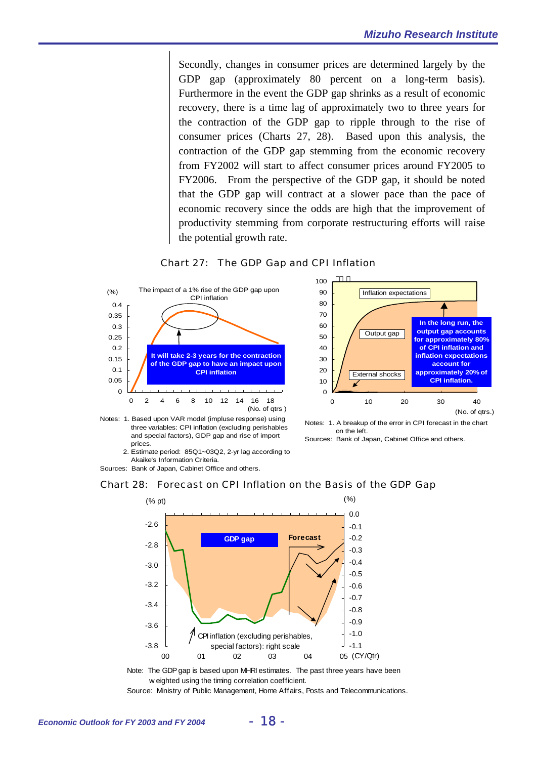Secondly, changes in consumer prices are determined largely by the GDP gap (approximately 80 percent on a long-term basis). Furthermore in the event the GDP gap shrinks as a result of economic recovery, there is a time lag of approximately two to three years for the contraction of the GDP gap to ripple through to the rise of consumer prices (Charts 27, 28). Based upon this analysis, the contraction of the GDP gap stemming from the economic recovery from FY2002 will start to affect consumer prices around FY2005 to FY2006. From the perspective of the GDP gap, it should be noted that the GDP gap will contract at a slower pace than the pace of economic recovery since the odds are high that the improvement of productivity stemming from corporate restructuring efforts will raise the potential growth rate.







on the left.

Sources: Bank of Japan, Cabinet Office and others.

 2. Estimate period: 85Q1~03Q2, 2-yr lag according to Akaike's Information Criteria.

Sources: Bank of Japan, Cabinet Office and others.





Note: The GDP gap is based upon MHRI estimates. The past three years have been w eighted using the timing correlation coefficient.

Source: Ministry of Public Management, Home Affairs, Posts and Telecommunications.

Notes: 1. Based upon VAR model (impluse response) using three variables: CPI inflation (excluding perishables and special factors), GDP gap and rise of import prices.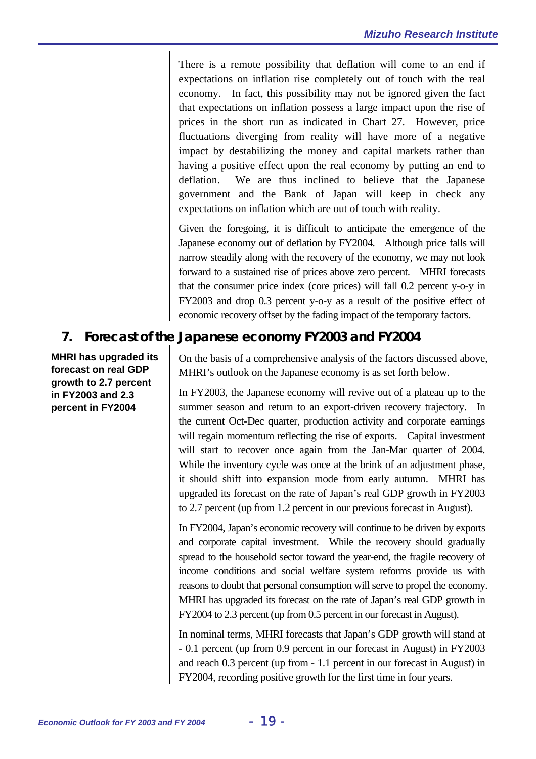There is a remote possibility that deflation will come to an end if expectations on inflation rise completely out of touch with the real economy. In fact, this possibility may not be ignored given the fact that expectations on inflation possess a large impact upon the rise of prices in the short run as indicated in Chart 27. However, price fluctuations diverging from reality will have more of a negative impact by destabilizing the money and capital markets rather than having a positive effect upon the real economy by putting an end to deflation. We are thus inclined to believe that the Japanese government and the Bank of Japan will keep in check any expectations on inflation which are out of touch with reality.

Given the foregoing, it is difficult to anticipate the emergence of the Japanese economy out of deflation by FY2004. Although price falls will narrow steadily along with the recovery of the economy, we may not look forward to a sustained rise of prices above zero percent. MHRI forecasts that the consumer price index (core prices) will fall 0.2 percent y-o-y in FY2003 and drop 0.3 percent y-o-y as a result of the positive effect of economic recovery offset by the fading impact of the temporary factors.

## **7. Forecast of the Japanese economy FY2003 and FY2004**

**MHRI has upgraded its forecast on real GDP growth to 2.7 percent in FY2003 and 2.3 percent in FY2004** 

On the basis of a comprehensive analysis of the factors discussed above, MHRI's outlook on the Japanese economy is as set forth below.

In FY2003, the Japanese economy will revive out of a plateau up to the summer season and return to an export-driven recovery trajectory. In the current Oct-Dec quarter, production activity and corporate earnings will regain momentum reflecting the rise of exports. Capital investment will start to recover once again from the Jan-Mar quarter of 2004. While the inventory cycle was once at the brink of an adjustment phase, it should shift into expansion mode from early autumn. MHRI has upgraded its forecast on the rate of Japan's real GDP growth in FY2003 to 2.7 percent (up from 1.2 percent in our previous forecast in August).

In FY2004, Japan's economic recovery will continue to be driven by exports and corporate capital investment. While the recovery should gradually spread to the household sector toward the year-end, the fragile recovery of income conditions and social welfare system reforms provide us with reasons to doubt that personal consumption will serve to propel the economy. MHRI has upgraded its forecast on the rate of Japan's real GDP growth in FY2004 to 2.3 percent (up from 0.5 percent in our forecast in August).

In nominal terms, MHRI forecasts that Japan's GDP growth will stand at - 0.1 percent (up from 0.9 percent in our forecast in August) in FY2003 and reach 0.3 percent (up from - 1.1 percent in our forecast in August) in FY2004, recording positive growth for the first time in four years.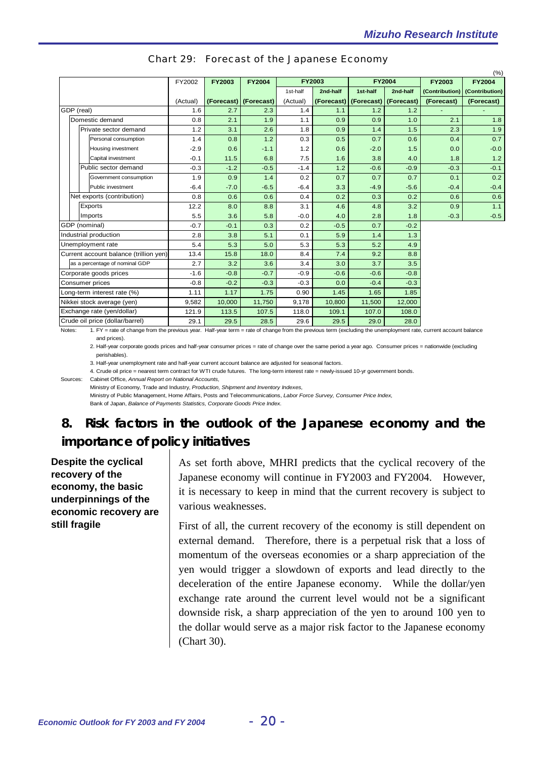|  |                                        |          |               |                       |          |               |                               |               |               | (%)                           |
|--|----------------------------------------|----------|---------------|-----------------------|----------|---------------|-------------------------------|---------------|---------------|-------------------------------|
|  |                                        | FY2002   | <b>FY2003</b> | <b>FY2004</b>         |          | <b>FY2003</b> |                               | <b>FY2004</b> | <b>FY2003</b> | <b>FY2004</b>                 |
|  |                                        |          |               |                       | 1st-half | 2nd-half      | 1st-half                      | 2nd-half      |               | (Contribution) (Contribution) |
|  |                                        | (Actual) |               | (Forecast) (Forecast) | (Actual) | (Forecast)    | $ $ (Forecast) $ $ (Forecast) |               | (Forecast)    | (Forecast)                    |
|  | GDP (real)                             | 1.6      | 2.7           | 2.3                   | 1.4      | 1.1           | 1.2                           | 1.2           |               |                               |
|  | Domestic demand                        | 0.8      | 2.1           | 1.9                   | 1.1      | 0.9           | 0.9                           | 1.0           | 2.1           | 1.8                           |
|  | Private sector demand                  | 1.2      | 3.1           | 2.6                   | 1.8      | 0.9           | 1.4                           | 1.5           | 2.3           | 1.9                           |
|  | Personal consumption                   | 1.4      | 0.8           | 1.2                   | 0.3      | 0.5           | 0.7                           | 0.6           | 0.4           | 0.7                           |
|  | Housing investment                     | $-2.9$   | 0.6           | $-1.1$                | 1.2      | 0.6           | $-2.0$                        | 1.5           | 0.0           | $-0.0$                        |
|  | Capital investment                     | $-0.1$   | 11.5          | 6.8                   | 7.5      | 1.6           | 3.8                           | 4.0           | 1.8           | 1.2                           |
|  | Public sector demand                   | $-0.3$   | $-1.2$        | $-0.5$                | $-1.4$   | 1.2           | $-0.6$                        | $-0.9$        | $-0.3$        | $-0.1$                        |
|  | Government consumption                 | 1.9      | 0.9           | 1.4                   | 0.2      | 0.7           | 0.7                           | 0.7           | 0.1           | 0.2                           |
|  | Public investment                      | $-6.4$   | $-7.0$        | $-6.5$                | $-6.4$   | 3.3           | $-4.9$                        | $-5.6$        | $-0.4$        | $-0.4$                        |
|  | Net exports (contribution)             | 0.8      | 0.6           | 0.6                   | 0.4      | 0.2           | 0.3                           | 0.2           | 0.6           | 0.6                           |
|  | Exports                                | 12.2     | 8.0           | 8.8                   | 3.1      | 4.6           | 4.8                           | 3.2           | 0.9           | 1.1                           |
|  | Imports                                | 5.5      | 3.6           | 5.8                   | $-0.0$   | 4.0           | 2.8                           | 1.8           | $-0.3$        | $-0.5$                        |
|  | GDP (nominal)                          | $-0.7$   | $-0.1$        | 0.3                   | 0.2      | $-0.5$        | 0.7                           | $-0.2$        |               |                               |
|  | Industrial production                  | 2.8      | 3.8           | 5.1                   | 0.1      | 5.9           | 1.4                           | 1.3           |               |                               |
|  | Unemployment rate                      | 5.4      | 5.3           | 5.0                   | 5.3      | 5.3           | 5.2                           | 4.9           |               |                               |
|  | Current account balance (trillion yen) | 13.4     | 15.8          | 18.0                  | 8.4      | 7.4           | 9.2                           | 8.8           |               |                               |
|  | as a percentage of nominal GDP         | 2.7      | 3.2           | 3.6                   | 3.4      | 3.0           | 3.7                           | 3.5           |               |                               |
|  | Corporate goods prices                 | $-1.6$   | $-0.8$        | $-0.7$                | $-0.9$   | $-0.6$        | $-0.6$                        | $-0.8$        |               |                               |
|  | Consumer prices                        | $-0.8$   | $-0.2$        | $-0.3$                | $-0.3$   | 0.0           | $-0.4$                        | $-0.3$        |               |                               |
|  | Long-term interest rate (%)            | 1.11     | 1.17          | 1.75                  | 0.90     | 1.45          | 1.65                          | 1.85          |               |                               |
|  | Nikkei stock average (yen)             | 9,582    | 10,000        | 11,750                | 9,178    | 10,800        | 11,500                        | 12,000        |               |                               |
|  | Exchange rate (yen/dollar)             | 121.9    | 113.5         | 107.5                 | 118.0    | 109.1         | 107.0                         | 108.0         |               |                               |
|  | Crude oil price (dollar/barrel)        | 29.1     | 29.5          | 28.5                  | 29.6     | 29.5          | 29.0                          | 28.0          |               |                               |

| <b>Chart 29: Forecast of the Japanese Economy</b> |  |  |  |  |
|---------------------------------------------------|--|--|--|--|
|---------------------------------------------------|--|--|--|--|

Notes: 1. FY = rate of change from the previous year. Half-year term = rate of change from the previous term (excluding the unemployment rate, current account balance and prices).

2. Half-year corporate goods prices and half-year consumer prices = rate of change over the same period a year ago. Consumer prices = nationwide (excluding perishables).

3. Half-year unemployment rate and half-year current account balance are adjusted for seasonal factors.

4. Crude oil price = nearest term contract for WTI crude futures. The long-term interest rate = newly-issued 10-yr government bonds.

Sources: Cabinet Office, *Annual Report on National Accounts,*

Ministry of Economy, Trade and Industry, *Production, Shipment and Inventory Indexes,*

Ministry of Public Management, Home Affairs, Posts and Telecommunications, *Labor Force Survey, Consumer Price Index,* Bank of Japan, *Balance of Payments Statistics, Corporate Goods Price Index.*

# **8. Risk factors in the outlook of the Japanese economy and the importance of policy initiatives**

**Despite the cyclical recovery of the economy, the basic underpinnings of the economic recovery are still fragile** 

As set forth above, MHRI predicts that the cyclical recovery of the Japanese economy will continue in FY2003 and FY2004. However, it is necessary to keep in mind that the current recovery is subject to various weaknesses.

First of all, the current recovery of the economy is still dependent on external demand. Therefore, there is a perpetual risk that a loss of momentum of the overseas economies or a sharp appreciation of the yen would trigger a slowdown of exports and lead directly to the deceleration of the entire Japanese economy. While the dollar/yen exchange rate around the current level would not be a significant downside risk, a sharp appreciation of the yen to around 100 yen to the dollar would serve as a major risk factor to the Japanese economy (Chart 30).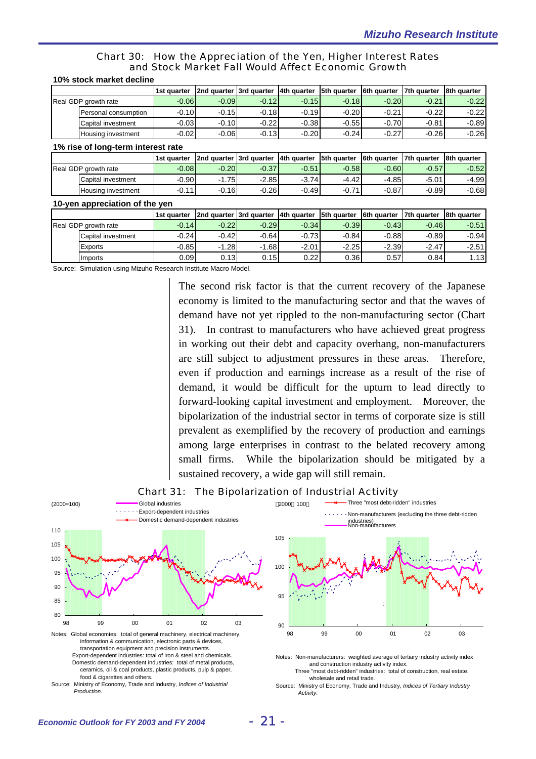#### Chart 30: How the Appreciation of the Yen, Higher Interest Rates and Stock Market Fall Would Affect Economic Growth

|                                                               | 1st quarter | 2nd quarter 3rd quarter |             | 4th quarter | 5th quarter | 6th quarter | 7th quarter | 8th quarter |  |
|---------------------------------------------------------------|-------------|-------------------------|-------------|-------------|-------------|-------------|-------------|-------------|--|
| Real GDP growth rate                                          | $-0.06$     | $-0.09$                 | $-0.12$     | $-0.15$     | $-0.18$     | $-0.20$     | $-0.21$     | $-0.22$     |  |
| Personal consumption                                          | $-0.10$     | $-0.15$                 | $-0.18$     | $-0.19$     | $-0.20$     | $-0.21$     | $-0.22$     | $-0.22$     |  |
| Capital investment                                            | $-0.03$     | $-0.10$                 | $-0.22$     | $-0.38$     | $-0.55$     | $-0.70$     | $-0.81$     | $-0.89$     |  |
| Housing investment                                            | $-0.02$     | $-0.06$                 | $-0.13$     | $-0.20$     | $-0.24$     | $-0.27$     | $-0.26$     | $-0.26$     |  |
| 1% rise of long-term interest rate                            |             |                         |             |             |             |             |             |             |  |
|                                                               | 1st quarter | 2nd quarter             | 3rd quarter | 4th quarter | 5th quarter | 6th quarter | 7th quarter | 8th quarter |  |
| Real GDP growth rate                                          | $-0.08$     | $-0.20$                 | $-0.37$     | $-0.51$     | $-0.58$     | $-0.60$     | $-0.57$     | $-0.52$     |  |
| Capital investment                                            | $-0.90$     | $-1.75$                 | $-2.85$     | $-3.74$     | $-4.42$     | $-4.85$     | $-5.01$     | $-4.99$     |  |
| Housing investment                                            | $-0.11$     | $-0.16$                 | $-0.26$     | $-0.49$     | $-0.71$     | $-0.87$     | $-0.89$     | $-0.68$     |  |
| 10-yen appreciation of the yen                                |             |                         |             |             |             |             |             |             |  |
|                                                               | 1st quarter | 2nd quarter             | 3rd quarter | 4th quarter | 5th quarter | 6th quarter | 7th quarter | 8th quarter |  |
| Real GDP growth rate                                          | $-0.14$     | $-0.22$                 | $-0.29$     | $-0.34$     | $-0.39$     | $-0.43$     | $-0.46$     | $-0.51$     |  |
| Capital investment                                            | $-0.24$     | $-0.42$                 | $-0.64$     | $-0.73$     | $-0.84$     | $-0.88$     | $-0.89$     | $-0.94$     |  |
| Exports                                                       | $-0.85$     | $-1.28$                 | $-1.68$     | $-2.01$     | $-2.25$     | $-2.39$     | $-2.47$     | $-2.51$     |  |
| Imports                                                       | 0.09        | 0.13                    | 0.15        | 0.22        | 0.36        | 0.57        | 0.84        | 1.13        |  |
| Course Cimulation uning Mirubo Desperab Institute Mease Medal |             |                         |             |             |             |             |             |             |  |

#### **10% stock market decline**

Source: Simulation using Mizuho Research Institute Macro Model.

The second risk factor is that the current recovery of the Japanese economy is limited to the manufacturing sector and that the waves of demand have not yet rippled to the non-manufacturing sector (Chart 31). In contrast to manufacturers who have achieved great progress in working out their debt and capacity overhang, non-manufacturers are still subject to adjustment pressures in these areas. Therefore, even if production and earnings increase as a result of the rise of demand, it would be difficult for the upturn to lead directly to forward-looking capital investment and employment. Moreover, the bipolarization of the industrial sector in terms of corporate size is still prevalent as exemplified by the recovery of production and earnings among large enterprises in contrast to the belated recovery among small firms. While the bipolarization should be mitigated by a sustained recovery, a wide gap will still remain.



Source: Ministry of Economy, Trade and Industry, *Indices of Industrial Production.*

Source: Ministry of Economy, Trade and Industry, *Indices of Tertiary Industry Activity.*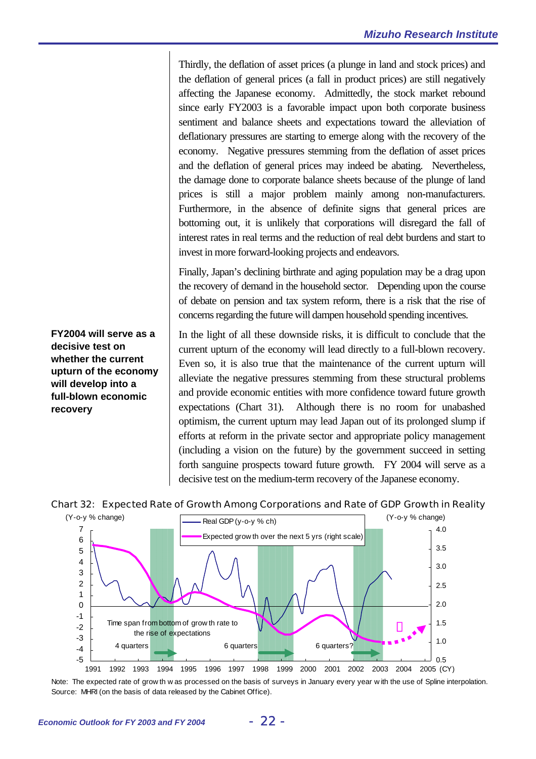Thirdly, the deflation of asset prices (a plunge in land and stock prices) and the deflation of general prices (a fall in product prices) are still negatively affecting the Japanese economy. Admittedly, the stock market rebound since early FY2003 is a favorable impact upon both corporate business sentiment and balance sheets and expectations toward the alleviation of deflationary pressures are starting to emerge along with the recovery of the economy. Negative pressures stemming from the deflation of asset prices and the deflation of general prices may indeed be abating. Nevertheless, the damage done to corporate balance sheets because of the plunge of land prices is still a major problem mainly among non-manufacturers. Furthermore, in the absence of definite signs that general prices are bottoming out, it is unlikely that corporations will disregard the fall of interest rates in real terms and the reduction of real debt burdens and start to invest in more forward-looking projects and endeavors.

Finally, Japan's declining birthrate and aging population may be a drag upon the recovery of demand in the household sector. Depending upon the course of debate on pension and tax system reform, there is a risk that the rise of concerns regarding the future will dampen household spending incentives.

In the light of all these downside risks, it is difficult to conclude that the current upturn of the economy will lead directly to a full-blown recovery. Even so, it is also true that the maintenance of the current upturn will alleviate the negative pressures stemming from these structural problems and provide economic entities with more confidence toward future growth expectations (Chart 31). Although there is no room for unabashed optimism, the current upturn may lead Japan out of its prolonged slump if efforts at reform in the private sector and appropriate policy management (including a vision on the future) by the government succeed in setting forth sanguine prospects toward future growth. FY 2004 will serve as a decisive test on the medium-term recovery of the Japanese economy.

#### Chart 32: Expected Rate of Growth Among Corporations and Rate of GDP Growth in Reality



Note: The expected rate of grow th w as processed on the basis of surveys in January every year w ith the use of Spline interpolation. Source: MHRI (on the basis of data released by the Cabinet Office).

**FY2004 will serve as a decisive test on whether the current upturn of the economy will develop into a full-blown economic recovery**